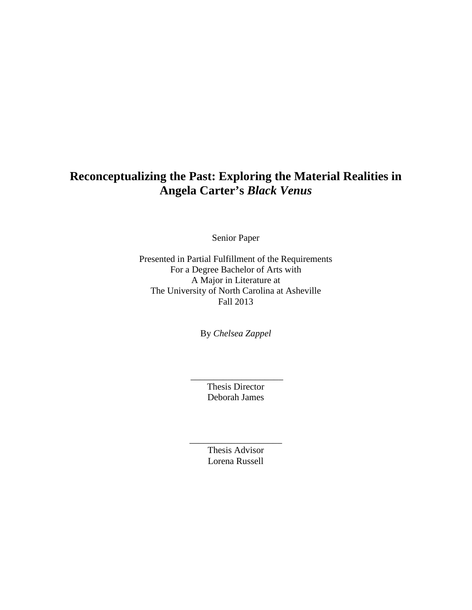## **Reconceptualizing the Past: Exploring the Material Realities in Angela Carter's** *Black Venus*

Senior Paper

Presented in Partial Fulfillment of the Requirements For a Degree Bachelor of Arts with A Major in Literature at The University of North Carolina at Asheville Fall 2013

By *Chelsea Zappel*

Thesis Director Deborah James

\_\_\_\_\_\_\_\_\_\_\_\_\_\_\_\_\_\_\_\_

Thesis Advisor Lorena Russell

\_\_\_\_\_\_\_\_\_\_\_\_\_\_\_\_\_\_\_\_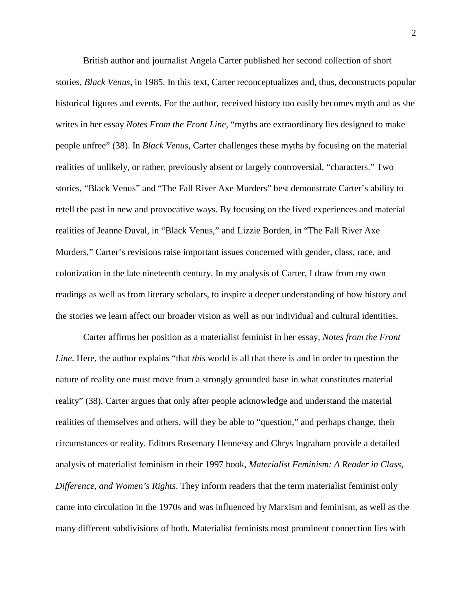British author and journalist Angela Carter published her second collection of short stories, *Black Venus,* in 1985. In this text, Carter reconceptualizes and, thus, deconstructs popular historical figures and events. For the author, received history too easily becomes myth and as she writes in her essay *Notes From the Front Line*, "myths are extraordinary lies designed to make people unfree" (38). In *Black Venus*, Carter challenges these myths by focusing on the material realities of unlikely, or rather, previously absent or largely controversial, "characters." Two stories, "Black Venus" and "The Fall River Axe Murders" best demonstrate Carter's ability to retell the past in new and provocative ways. By focusing on the lived experiences and material realities of Jeanne Duval, in "Black Venus," and Lizzie Borden, in "The Fall River Axe Murders," Carter's revisions raise important issues concerned with gender, class, race, and colonization in the late nineteenth century. In my analysis of Carter, I draw from my own readings as well as from literary scholars, to inspire a deeper understanding of how history and the stories we learn affect our broader vision as well as our individual and cultural identities.

Carter affirms her position as a materialist feminist in her essay, *Notes from the Front Line*. Here, the author explains "that *this* world is all that there is and in order to question the nature of reality one must move from a strongly grounded base in what constitutes material reality" (38). Carter argues that only after people acknowledge and understand the material realities of themselves and others, will they be able to "question," and perhaps change, their circumstances or reality. Editors Rosemary Hennessy and Chrys Ingraham provide a detailed analysis of materialist feminism in their 1997 book, *Materialist Feminism: A Reader in Class, Difference, and Women's Rights*. They inform readers that the term materialist feminist only came into circulation in the 1970s and was influenced by Marxism and feminism, as well as the many different subdivisions of both. Materialist feminists most prominent connection lies with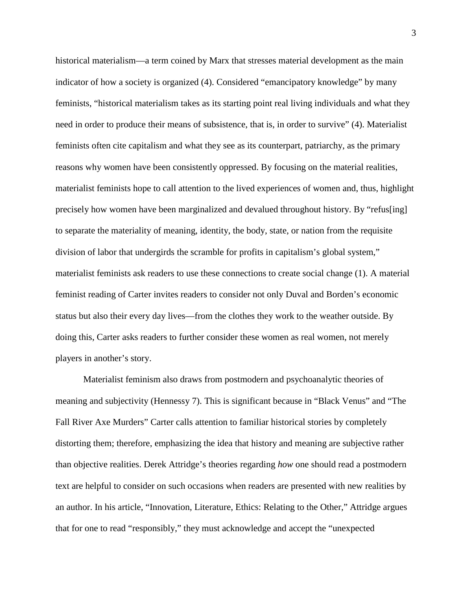historical materialism—a term coined by Marx that stresses material development as the main indicator of how a society is organized (4). Considered "emancipatory knowledge" by many feminists, "historical materialism takes as its starting point real living individuals and what they need in order to produce their means of subsistence, that is, in order to survive" (4). Materialist feminists often cite capitalism and what they see as its counterpart, patriarchy, as the primary reasons why women have been consistently oppressed. By focusing on the material realities, materialist feminists hope to call attention to the lived experiences of women and, thus, highlight precisely how women have been marginalized and devalued throughout history. By "refus[ing] to separate the materiality of meaning, identity, the body, state, or nation from the requisite division of labor that undergirds the scramble for profits in capitalism's global system," materialist feminists ask readers to use these connections to create social change (1). A material feminist reading of Carter invites readers to consider not only Duval and Borden's economic status but also their every day lives—from the clothes they work to the weather outside. By doing this, Carter asks readers to further consider these women as real women, not merely players in another's story.

Materialist feminism also draws from postmodern and psychoanalytic theories of meaning and subjectivity (Hennessy 7). This is significant because in "Black Venus" and "The Fall River Axe Murders" Carter calls attention to familiar historical stories by completely distorting them; therefore, emphasizing the idea that history and meaning are subjective rather than objective realities. Derek Attridge's theories regarding *how* one should read a postmodern text are helpful to consider on such occasions when readers are presented with new realities by an author. In his article, "Innovation, Literature, Ethics: Relating to the Other," Attridge argues that for one to read "responsibly," they must acknowledge and accept the "unexpected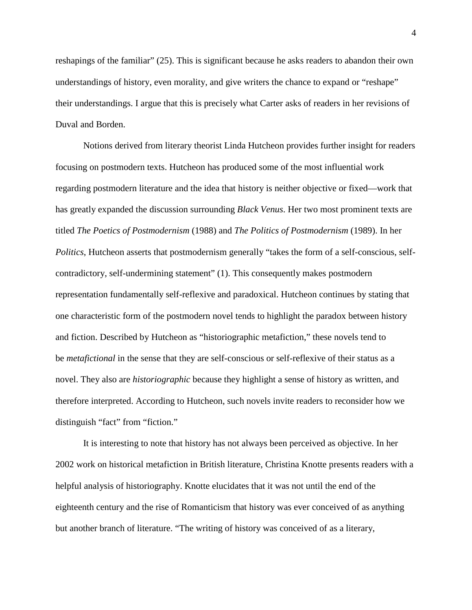reshapings of the familiar" (25). This is significant because he asks readers to abandon their own understandings of history, even morality, and give writers the chance to expand or "reshape" their understandings. I argue that this is precisely what Carter asks of readers in her revisions of Duval and Borden.

Notions derived from literary theorist Linda Hutcheon provides further insight for readers focusing on postmodern texts. Hutcheon has produced some of the most influential work regarding postmodern literature and the idea that history is neither objective or fixed—work that has greatly expanded the discussion surrounding *Black Venus*. Her two most prominent texts are titled *The Poetics of Postmodernism* (1988) and *The Politics of Postmodernism* (1989). In her *Politics*, Hutcheon asserts that postmodernism generally "takes the form of a self-conscious, selfcontradictory, self-undermining statement" (1). This consequently makes postmodern representation fundamentally self-reflexive and paradoxical. Hutcheon continues by stating that one characteristic form of the postmodern novel tends to highlight the paradox between history and fiction. Described by Hutcheon as "historiographic metafiction," these novels tend to be *metafictional* in the sense that they are self-conscious or self-reflexive of their status as a novel. They also are *historiographic* because they highlight a sense of history as written, and therefore interpreted. According to Hutcheon, such novels invite readers to reconsider how we distinguish "fact" from "fiction."

It is interesting to note that history has not always been perceived as objective. In her 2002 work on historical metafiction in British literature, Christina Knotte presents readers with a helpful analysis of historiography. Knotte elucidates that it was not until the end of the eighteenth century and the rise of Romanticism that history was ever conceived of as anything but another branch of literature. "The writing of history was conceived of as a literary,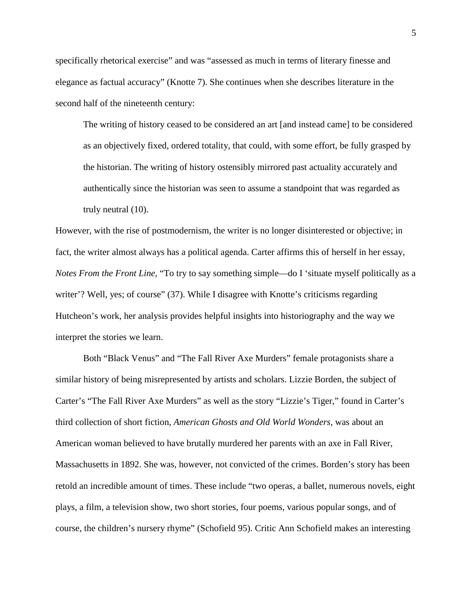specifically rhetorical exercise" and was "assessed as much in terms of literary finesse and elegance as factual accuracy" (Knotte 7). She continues when she describes literature in the second half of the nineteenth century:

The writing of history ceased to be considered an art [and instead came] to be considered as an objectively fixed, ordered totality, that could, with some effort, be fully grasped by the historian. The writing of history ostensibly mirrored past actuality accurately and authentically since the historian was seen to assume a standpoint that was regarded as truly neutral (10).

However, with the rise of postmodernism, the writer is no longer disinterested or objective; in fact, the writer almost always has a political agenda. Carter affirms this of herself in her essay, *Notes From the Front Line*, "To try to say something simple—do I 'situate myself politically as a writer'? Well, yes; of course" (37). While I disagree with Knotte's criticisms regarding Hutcheon's work, her analysis provides helpful insights into historiography and the way we interpret the stories we learn.

Both "Black Venus" and "The Fall River Axe Murders" female protagonists share a similar history of being misrepresented by artists and scholars. Lizzie Borden, the subject of Carter's "The Fall River Axe Murders" as well as the story "Lizzie's Tiger," found in Carter's third collection of short fiction, *American Ghosts and Old World Wonders,* was about an American woman believed to have brutally murdered her parents with an axe in Fall River, Massachusetts in 1892. She was, however, not convicted of the crimes. Borden's story has been retold an incredible amount of times. These include "two operas, a ballet, numerous novels, eight plays, a film, a television show, two short stories, four poems, various popular songs, and of course, the children's nursery rhyme" (Schofield 95). Critic Ann Schofield makes an interesting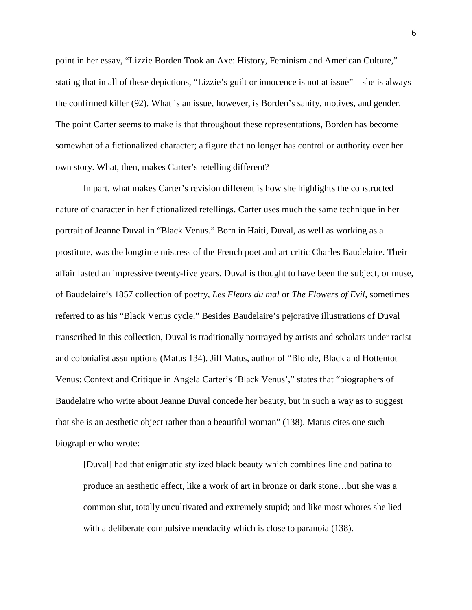point in her essay, "Lizzie Borden Took an Axe: History, Feminism and American Culture," stating that in all of these depictions, "Lizzie's guilt or innocence is not at issue"—she is always the confirmed killer (92). What is an issue, however, is Borden's sanity, motives, and gender. The point Carter seems to make is that throughout these representations, Borden has become somewhat of a fictionalized character; a figure that no longer has control or authority over her own story. What, then, makes Carter's retelling different?

In part, what makes Carter's revision different is how she highlights the constructed nature of character in her fictionalized retellings. Carter uses much the same technique in her portrait of Jeanne Duval in "Black Venus." Born in Haiti, Duval, as well as working as a prostitute, was the longtime mistress of the French poet and art critic Charles Baudelaire. Their affair lasted an impressive twenty-five years. Duval is thought to have been the subject, or muse, of Baudelaire's 1857 collection of poetry, *Les Fleurs du mal* or *The Flowers of Evil,* sometimes referred to as his "Black Venus cycle." Besides Baudelaire's pejorative illustrations of Duval transcribed in this collection, Duval is traditionally portrayed by artists and scholars under racist and colonialist assumptions (Matus 134). Jill Matus, author of "Blonde, Black and Hottentot Venus: Context and Critique in Angela Carter's 'Black Venus'," states that "biographers of Baudelaire who write about Jeanne Duval concede her beauty, but in such a way as to suggest that she is an aesthetic object rather than a beautiful woman" (138). Matus cites one such biographer who wrote:

[Duval] had that enigmatic stylized black beauty which combines line and patina to produce an aesthetic effect, like a work of art in bronze or dark stone…but she was a common slut, totally uncultivated and extremely stupid; and like most whores she lied with a deliberate compulsive mendacity which is close to paranoia (138).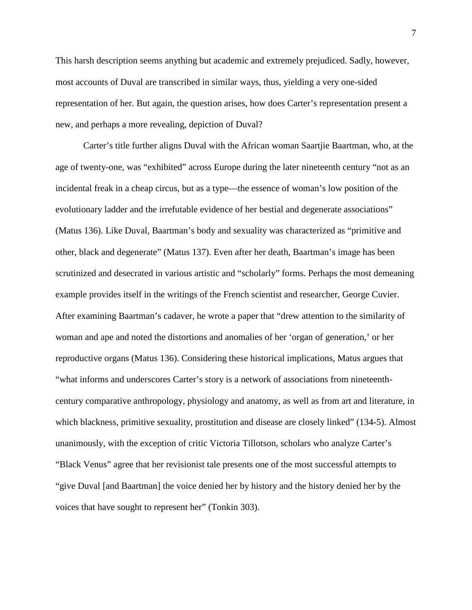This harsh description seems anything but academic and extremely prejudiced. Sadly, however, most accounts of Duval are transcribed in similar ways, thus, yielding a very one-sided representation of her. But again, the question arises, how does Carter's representation present a new, and perhaps a more revealing, depiction of Duval?

Carter's title further aligns Duval with the African woman Saartjie Baartman, who, at the age of twenty-one, was "exhibited" across Europe during the later nineteenth century "not as an incidental freak in a cheap circus, but as a type—the essence of woman's low position of the evolutionary ladder and the irrefutable evidence of her bestial and degenerate associations" (Matus 136). Like Duval, Baartman's body and sexuality was characterized as "primitive and other, black and degenerate" (Matus 137). Even after her death, Baartman's image has been scrutinized and desecrated in various artistic and "scholarly" forms. Perhaps the most demeaning example provides itself in the writings of the French scientist and researcher, George Cuvier. After examining Baartman's cadaver, he wrote a paper that "drew attention to the similarity of woman and ape and noted the distortions and anomalies of her 'organ of generation,' or her reproductive organs (Matus 136). Considering these historical implications, Matus argues that "what informs and underscores Carter's story is a network of associations from nineteenthcentury comparative anthropology, physiology and anatomy, as well as from art and literature, in which blackness, primitive sexuality, prostitution and disease are closely linked" (134-5). Almost unanimously, with the exception of critic Victoria Tillotson, scholars who analyze Carter's "Black Venus" agree that her revisionist tale presents one of the most successful attempts to "give Duval [and Baartman] the voice denied her by history and the history denied her by the voices that have sought to represent her" (Tonkin 303).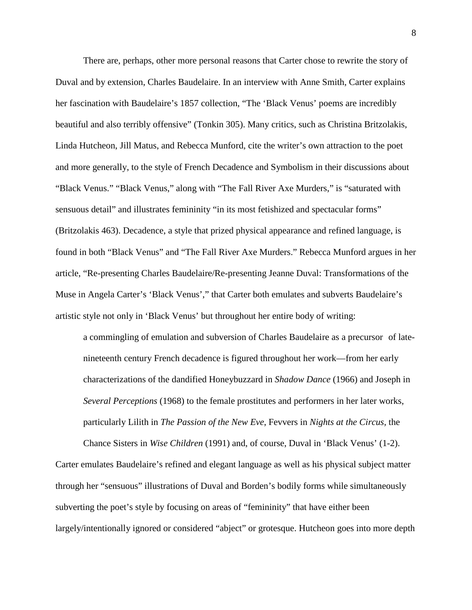There are, perhaps, other more personal reasons that Carter chose to rewrite the story of Duval and by extension, Charles Baudelaire. In an interview with Anne Smith, Carter explains her fascination with Baudelaire's 1857 collection, "The 'Black Venus' poems are incredibly beautiful and also terribly offensive" (Tonkin 305). Many critics, such as Christina Britzolakis, Linda Hutcheon, Jill Matus, and Rebecca Munford, cite the writer's own attraction to the poet and more generally, to the style of French Decadence and Symbolism in their discussions about "Black Venus." "Black Venus," along with "The Fall River Axe Murders," is "saturated with sensuous detail" and illustrates femininity "in its most fetishized and spectacular forms" (Britzolakis 463). Decadence, a style that prized physical appearance and refined language, is found in both "Black Venus" and "The Fall River Axe Murders." Rebecca Munford argues in her article, "Re-presenting Charles Baudelaire/Re-presenting Jeanne Duval: Transformations of the Muse in Angela Carter's 'Black Venus'," that Carter both emulates and subverts Baudelaire's artistic style not only in 'Black Venus' but throughout her entire body of writing:

a commingling of emulation and subversion of Charles Baudelaire as a precursor of latenineteenth century French decadence is figured throughout her work—from her early characterizations of the dandified Honeybuzzard in *Shadow Dance* (1966) and Joseph in *Several Perceptions* (1968) to the female prostitutes and performers in her later works, particularly Lilith in *The Passion of the New Eve*, Fevvers in *Nights at the Circus,* the

Chance Sisters in *Wise Children* (1991) and, of course, Duval in 'Black Venus' (1-2). Carter emulates Baudelaire's refined and elegant language as well as his physical subject matter through her "sensuous" illustrations of Duval and Borden's bodily forms while simultaneously subverting the poet's style by focusing on areas of "femininity" that have either been largely/intentionally ignored or considered "abject" or grotesque. Hutcheon goes into more depth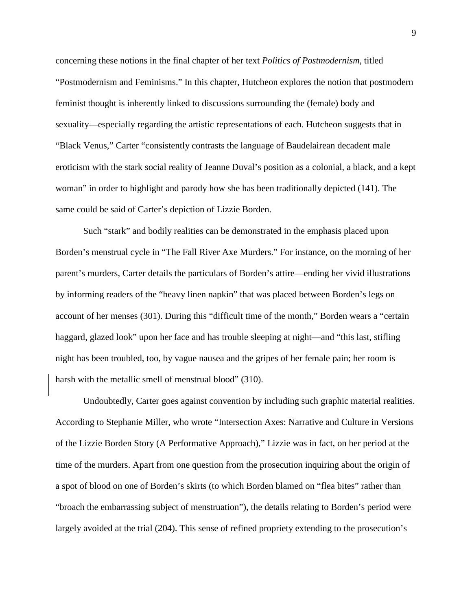concerning these notions in the final chapter of her text *Politics of Postmodernism*, titled "Postmodernism and Feminisms." In this chapter, Hutcheon explores the notion that postmodern feminist thought is inherently linked to discussions surrounding the (female) body and sexuality—especially regarding the artistic representations of each. Hutcheon suggests that in "Black Venus," Carter "consistently contrasts the language of Baudelairean decadent male eroticism with the stark social reality of Jeanne Duval's position as a colonial, a black, and a kept woman" in order to highlight and parody how she has been traditionally depicted (141). The same could be said of Carter's depiction of Lizzie Borden.

Such "stark" and bodily realities can be demonstrated in the emphasis placed upon Borden's menstrual cycle in "The Fall River Axe Murders." For instance, on the morning of her parent's murders, Carter details the particulars of Borden's attire—ending her vivid illustrations by informing readers of the "heavy linen napkin" that was placed between Borden's legs on account of her menses (301). During this "difficult time of the month," Borden wears a "certain haggard, glazed look" upon her face and has trouble sleeping at night—and "this last, stifling night has been troubled, too, by vague nausea and the gripes of her female pain; her room is harsh with the metallic smell of menstrual blood" (310).

Undoubtedly, Carter goes against convention by including such graphic material realities. According to Stephanie Miller, who wrote "Intersection Axes: Narrative and Culture in Versions of the Lizzie Borden Story (A Performative Approach)," Lizzie was in fact, on her period at the time of the murders. Apart from one question from the prosecution inquiring about the origin of a spot of blood on one of Borden's skirts (to which Borden blamed on "flea bites" rather than "broach the embarrassing subject of menstruation"), the details relating to Borden's period were largely avoided at the trial (204). This sense of refined propriety extending to the prosecution's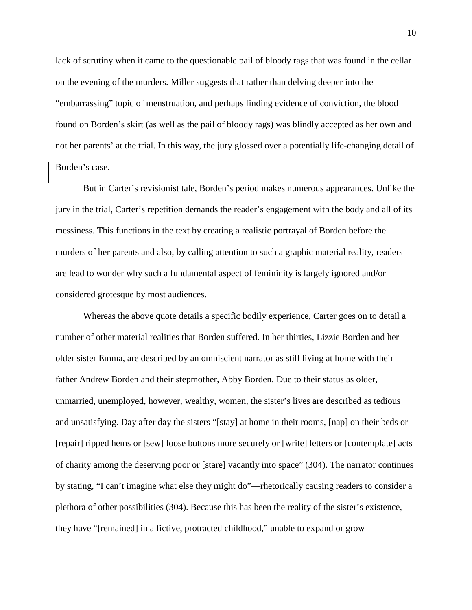lack of scrutiny when it came to the questionable pail of bloody rags that was found in the cellar on the evening of the murders. Miller suggests that rather than delving deeper into the "embarrassing" topic of menstruation, and perhaps finding evidence of conviction, the blood found on Borden's skirt (as well as the pail of bloody rags) was blindly accepted as her own and not her parents' at the trial. In this way, the jury glossed over a potentially life-changing detail of Borden's case.

But in Carter's revisionist tale, Borden's period makes numerous appearances. Unlike the jury in the trial, Carter's repetition demands the reader's engagement with the body and all of its messiness. This functions in the text by creating a realistic portrayal of Borden before the murders of her parents and also, by calling attention to such a graphic material reality, readers are lead to wonder why such a fundamental aspect of femininity is largely ignored and/or considered grotesque by most audiences.

Whereas the above quote details a specific bodily experience, Carter goes on to detail a number of other material realities that Borden suffered. In her thirties, Lizzie Borden and her older sister Emma, are described by an omniscient narrator as still living at home with their father Andrew Borden and their stepmother, Abby Borden. Due to their status as older, unmarried, unemployed, however, wealthy, women, the sister's lives are described as tedious and unsatisfying. Day after day the sisters "[stay] at home in their rooms, [nap] on their beds or [repair] ripped hems or [sew] loose buttons more securely or [write] letters or [contemplate] acts of charity among the deserving poor or [stare] vacantly into space" (304). The narrator continues by stating, "I can't imagine what else they might do"—rhetorically causing readers to consider a plethora of other possibilities (304). Because this has been the reality of the sister's existence, they have "[remained] in a fictive, protracted childhood," unable to expand or grow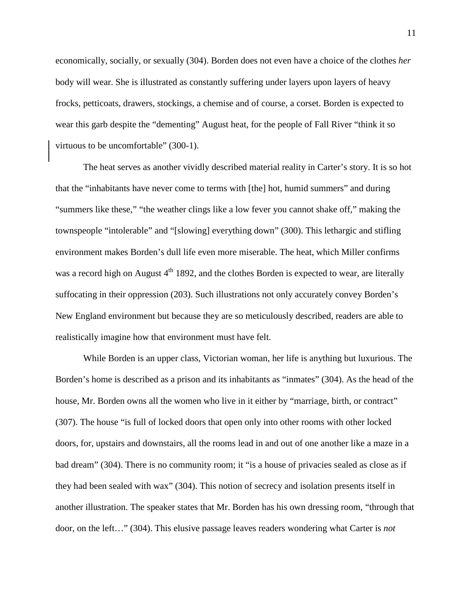economically, socially, or sexually (304). Borden does not even have a choice of the clothes *her*  body will wear. She is illustrated as constantly suffering under layers upon layers of heavy frocks, petticoats, drawers, stockings, a chemise and of course, a corset. Borden is expected to wear this garb despite the "dementing" August heat, for the people of Fall River "think it so virtuous to be uncomfortable" (300-1).

The heat serves as another vividly described material reality in Carter's story. It is so hot that the "inhabitants have never come to terms with [the] hot, humid summers" and during "summers like these," "the weather clings like a low fever you cannot shake off," making the townspeople "intolerable" and "[slowing] everything down" (300). This lethargic and stifling environment makes Borden's dull life even more miserable. The heat, which Miller confirms was a record high on August  $4<sup>th</sup>$  1892, and the clothes Borden is expected to wear, are literally suffocating in their oppression (203). Such illustrations not only accurately convey Borden's New England environment but because they are so meticulously described, readers are able to realistically imagine how that environment must have felt.

While Borden is an upper class, Victorian woman, her life is anything but luxurious. The Borden's home is described as a prison and its inhabitants as "inmates" (304). As the head of the house, Mr. Borden owns all the women who live in it either by "marriage, birth, or contract" (307). The house "is full of locked doors that open only into other rooms with other locked doors, for, upstairs and downstairs, all the rooms lead in and out of one another like a maze in a bad dream" (304). There is no community room; it "is a house of privacies sealed as close as if they had been sealed with wax" (304). This notion of secrecy and isolation presents itself in another illustration. The speaker states that Mr. Borden has his own dressing room, "through that door, on the left…" (304). This elusive passage leaves readers wondering what Carter is *not*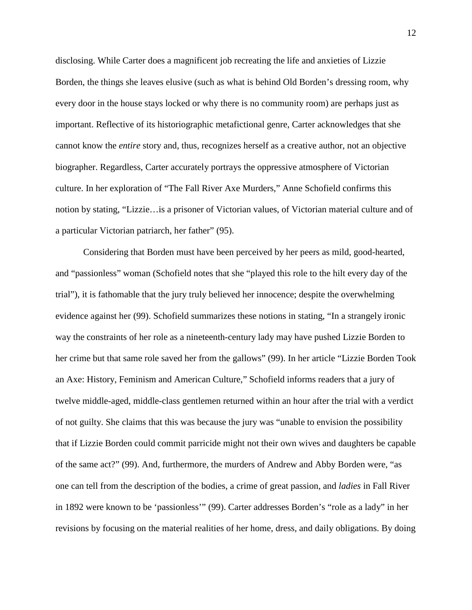disclosing. While Carter does a magnificent job recreating the life and anxieties of Lizzie Borden, the things she leaves elusive (such as what is behind Old Borden's dressing room, why every door in the house stays locked or why there is no community room) are perhaps just as important. Reflective of its historiographic metafictional genre, Carter acknowledges that she cannot know the *entire* story and, thus, recognizes herself as a creative author, not an objective biographer. Regardless, Carter accurately portrays the oppressive atmosphere of Victorian culture. In her exploration of "The Fall River Axe Murders," Anne Schofield confirms this notion by stating, "Lizzie…is a prisoner of Victorian values, of Victorian material culture and of a particular Victorian patriarch, her father" (95).

Considering that Borden must have been perceived by her peers as mild, good-hearted, and "passionless" woman (Schofield notes that she "played this role to the hilt every day of the trial"), it is fathomable that the jury truly believed her innocence; despite the overwhelming evidence against her (99). Schofield summarizes these notions in stating, "In a strangely ironic way the constraints of her role as a nineteenth-century lady may have pushed Lizzie Borden to her crime but that same role saved her from the gallows" (99). In her article "Lizzie Borden Took an Axe: History, Feminism and American Culture," Schofield informs readers that a jury of twelve middle-aged, middle-class gentlemen returned within an hour after the trial with a verdict of not guilty. She claims that this was because the jury was "unable to envision the possibility that if Lizzie Borden could commit parricide might not their own wives and daughters be capable of the same act?" (99). And, furthermore, the murders of Andrew and Abby Borden were, "as one can tell from the description of the bodies, a crime of great passion, and *ladies* in Fall River in 1892 were known to be 'passionless'" (99). Carter addresses Borden's "role as a lady" in her revisions by focusing on the material realities of her home, dress, and daily obligations. By doing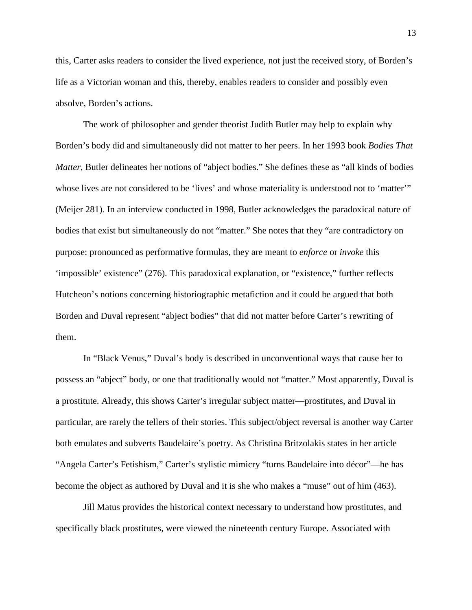this, Carter asks readers to consider the lived experience, not just the received story, of Borden's life as a Victorian woman and this, thereby, enables readers to consider and possibly even absolve, Borden's actions.

The work of philosopher and gender theorist Judith Butler may help to explain why Borden's body did and simultaneously did not matter to her peers. In her 1993 book *Bodies That Matter*, Butler delineates her notions of "abject bodies." She defines these as "all kinds of bodies whose lives are not considered to be 'lives' and whose materiality is understood not to 'matter'" (Meijer 281). In an interview conducted in 1998, Butler acknowledges the paradoxical nature of bodies that exist but simultaneously do not "matter." She notes that they "are contradictory on purpose: pronounced as performative formulas, they are meant to *enforce* or *invoke* this 'impossible' existence" (276). This paradoxical explanation, or "existence," further reflects Hutcheon's notions concerning historiographic metafiction and it could be argued that both Borden and Duval represent "abject bodies" that did not matter before Carter's rewriting of them.

In "Black Venus," Duval's body is described in unconventional ways that cause her to possess an "abject" body, or one that traditionally would not "matter." Most apparently, Duval is a prostitute. Already, this shows Carter's irregular subject matter—prostitutes, and Duval in particular, are rarely the tellers of their stories. This subject/object reversal is another way Carter both emulates and subverts Baudelaire's poetry. As Christina Britzolakis states in her article "Angela Carter's Fetishism," Carter's stylistic mimicry "turns Baudelaire into décor"—he has become the object as authored by Duval and it is she who makes a "muse" out of him (463).

Jill Matus provides the historical context necessary to understand how prostitutes, and specifically black prostitutes, were viewed the nineteenth century Europe. Associated with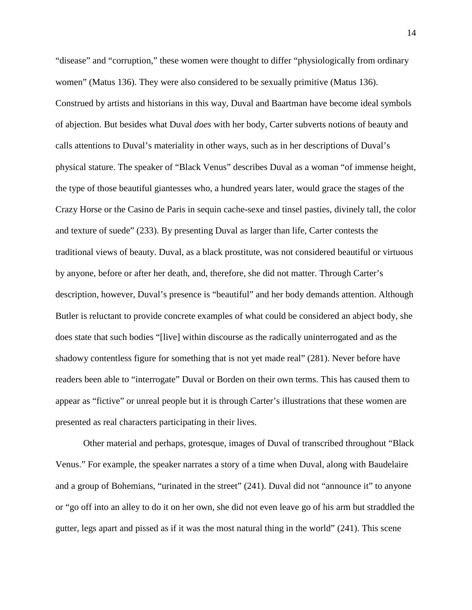"disease" and "corruption," these women were thought to differ "physiologically from ordinary women" (Matus 136). They were also considered to be sexually primitive (Matus 136). Construed by artists and historians in this way, Duval and Baartman have become ideal symbols of abjection. But besides what Duval *does* with her body, Carter subverts notions of beauty and calls attentions to Duval's materiality in other ways, such as in her descriptions of Duval's physical stature. The speaker of "Black Venus" describes Duval as a woman "of immense height, the type of those beautiful giantesses who, a hundred years later, would grace the stages of the Crazy Horse or the Casino de Paris in sequin cache-sexe and tinsel pasties, divinely tall, the color and texture of suede" (233). By presenting Duval as larger than life, Carter contests the traditional views of beauty. Duval, as a black prostitute, was not considered beautiful or virtuous by anyone, before or after her death, and, therefore, she did not matter. Through Carter's description, however, Duval's presence is "beautiful" and her body demands attention. Although Butler is reluctant to provide concrete examples of what could be considered an abject body, she does state that such bodies "[live] within discourse as the radically uninterrogated and as the shadowy contentless figure for something that is not yet made real" (281). Never before have readers been able to "interrogate" Duval or Borden on their own terms. This has caused them to appear as "fictive" or unreal people but it is through Carter's illustrations that these women are presented as real characters participating in their lives.

Other material and perhaps, grotesque, images of Duval of transcribed throughout "Black Venus." For example, the speaker narrates a story of a time when Duval, along with Baudelaire and a group of Bohemians, "urinated in the street" (241). Duval did not "announce it" to anyone or "go off into an alley to do it on her own, she did not even leave go of his arm but straddled the gutter, legs apart and pissed as if it was the most natural thing in the world" (241). This scene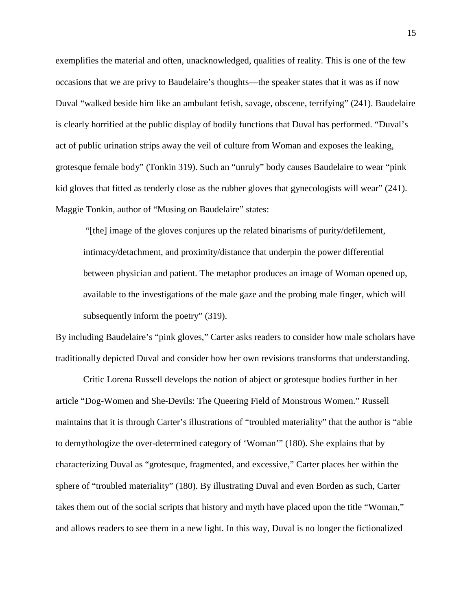exemplifies the material and often, unacknowledged, qualities of reality. This is one of the few occasions that we are privy to Baudelaire's thoughts—the speaker states that it was as if now Duval "walked beside him like an ambulant fetish, savage, obscene, terrifying" (241). Baudelaire is clearly horrified at the public display of bodily functions that Duval has performed. "Duval's act of public urination strips away the veil of culture from Woman and exposes the leaking, grotesque female body" (Tonkin 319). Such an "unruly" body causes Baudelaire to wear "pink kid gloves that fitted as tenderly close as the rubber gloves that gynecologists will wear" (241). Maggie Tonkin, author of "Musing on Baudelaire" states:

"[the] image of the gloves conjures up the related binarisms of purity/defilement, intimacy/detachment, and proximity/distance that underpin the power differential between physician and patient. The metaphor produces an image of Woman opened up, available to the investigations of the male gaze and the probing male finger, which will subsequently inform the poetry" (319).

By including Baudelaire's "pink gloves," Carter asks readers to consider how male scholars have traditionally depicted Duval and consider how her own revisions transforms that understanding.

Critic Lorena Russell develops the notion of abject or grotesque bodies further in her article "Dog-Women and She-Devils: The Queering Field of Monstrous Women." Russell maintains that it is through Carter's illustrations of "troubled materiality" that the author is "able to demythologize the over-determined category of 'Woman'" (180). She explains that by characterizing Duval as "grotesque, fragmented, and excessive," Carter places her within the sphere of "troubled materiality" (180). By illustrating Duval and even Borden as such, Carter takes them out of the social scripts that history and myth have placed upon the title "Woman," and allows readers to see them in a new light. In this way, Duval is no longer the fictionalized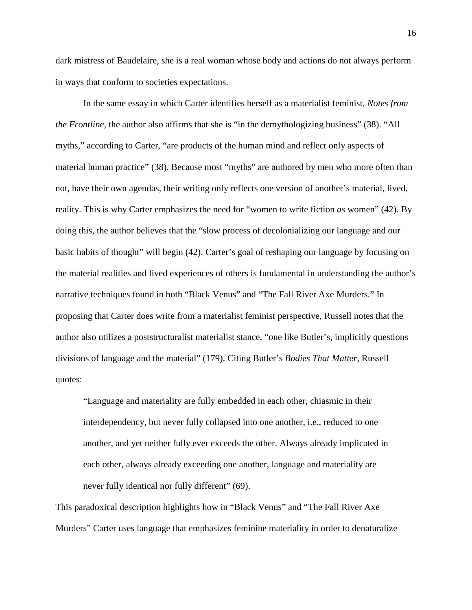dark mistress of Baudelaire, she is a real woman whose body and actions do not always perform in ways that conform to societies expectations.

In the same essay in which Carter identifies herself as a materialist feminist, *Notes from the Frontline*, the author also affirms that she is "in the demythologizing business" (38). "All myths," according to Carter, "are products of the human mind and reflect only aspects of material human practice" (38). Because most "myths" are authored by men who more often than not, have their own agendas, their writing only reflects one version of another's material, lived, reality. This is why Carter emphasizes the need for "women to write fiction *as* women" (42). By doing this, the author believes that the "slow process of decolonializing our language and our basic habits of thought" will begin (42). Carter's goal of reshaping our language by focusing on the material realities and lived experiences of others is fundamental in understanding the author's narrative techniques found in both "Black Venus" and "The Fall River Axe Murders." In proposing that Carter does write from a materialist feminist perspective, Russell notes that the author also utilizes a poststructuralist materialist stance, "one like Butler's, implicitly questions divisions of language and the material" (179). Citing Butler's *Bodies That Matter*, Russell quotes:

"Language and materiality are fully embedded in each other, chiasmic in their interdependency, but never fully collapsed into one another, i.e., reduced to one another, and yet neither fully ever exceeds the other. Always already implicated in each other, always already exceeding one another, language and materiality are never fully identical nor fully different" (69).

This paradoxical description highlights how in "Black Venus" and "The Fall River Axe Murders" Carter uses language that emphasizes feminine materiality in order to denaturalize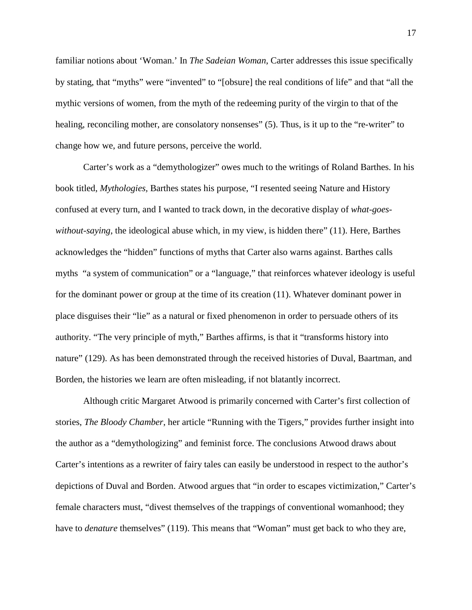familiar notions about 'Woman.' In *The Sadeian Woman*, Carter addresses this issue specifically by stating, that "myths" were "invented" to "[obsure] the real conditions of life" and that "all the mythic versions of women, from the myth of the redeeming purity of the virgin to that of the healing, reconciling mother, are consolatory nonsenses" (5). Thus, is it up to the "re-writer" to change how we, and future persons, perceive the world.

Carter's work as a "demythologizer" owes much to the writings of Roland Barthes. In his book titled, *Mythologies,* Barthes states his purpose, "I resented seeing Nature and History confused at every turn, and I wanted to track down, in the decorative display of *what-goeswithout-saying*, the ideological abuse which, in my view, is hidden there" (11). Here, Barthes acknowledges the "hidden" functions of myths that Carter also warns against. Barthes calls myths "a system of communication" or a "language," that reinforces whatever ideology is useful for the dominant power or group at the time of its creation (11). Whatever dominant power in place disguises their "lie" as a natural or fixed phenomenon in order to persuade others of its authority. "The very principle of myth," Barthes affirms, is that it "transforms history into nature" (129). As has been demonstrated through the received histories of Duval, Baartman, and Borden, the histories we learn are often misleading, if not blatantly incorrect.

Although critic Margaret Atwood is primarily concerned with Carter's first collection of stories, *The Bloody Chamber*, her article "Running with the Tigers," provides further insight into the author as a "demythologizing" and feminist force. The conclusions Atwood draws about Carter's intentions as a rewriter of fairy tales can easily be understood in respect to the author's depictions of Duval and Borden. Atwood argues that "in order to escapes victimization," Carter's female characters must, "divest themselves of the trappings of conventional womanhood; they have to *denature* themselves" (119). This means that "Woman" must get back to who they are,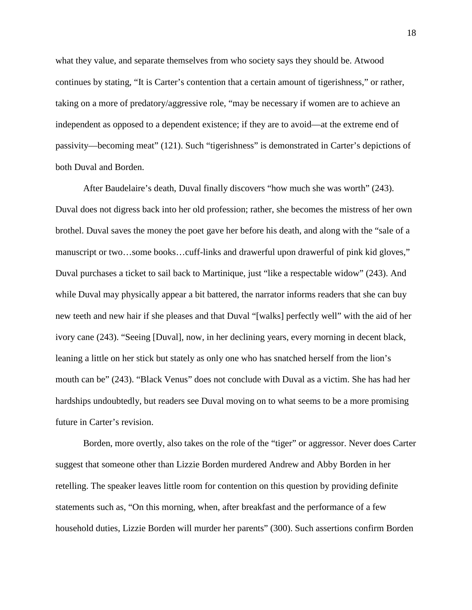what they value, and separate themselves from who society says they should be. Atwood continues by stating, "It is Carter's contention that a certain amount of tigerishness," or rather, taking on a more of predatory/aggressive role, "may be necessary if women are to achieve an independent as opposed to a dependent existence; if they are to avoid—at the extreme end of passivity—becoming meat" (121). Such "tigerishness" is demonstrated in Carter's depictions of both Duval and Borden.

After Baudelaire's death, Duval finally discovers "how much she was worth" (243). Duval does not digress back into her old profession; rather, she becomes the mistress of her own brothel. Duval saves the money the poet gave her before his death, and along with the "sale of a manuscript or two…some books…cuff-links and drawerful upon drawerful of pink kid gloves," Duval purchases a ticket to sail back to Martinique, just "like a respectable widow" (243). And while Duval may physically appear a bit battered, the narrator informs readers that she can buy new teeth and new hair if she pleases and that Duval "[walks] perfectly well" with the aid of her ivory cane (243). "Seeing [Duval], now, in her declining years, every morning in decent black, leaning a little on her stick but stately as only one who has snatched herself from the lion's mouth can be" (243). "Black Venus" does not conclude with Duval as a victim. She has had her hardships undoubtedly, but readers see Duval moving on to what seems to be a more promising future in Carter's revision.

Borden, more overtly, also takes on the role of the "tiger" or aggressor. Never does Carter suggest that someone other than Lizzie Borden murdered Andrew and Abby Borden in her retelling. The speaker leaves little room for contention on this question by providing definite statements such as, "On this morning, when, after breakfast and the performance of a few household duties, Lizzie Borden will murder her parents" (300). Such assertions confirm Borden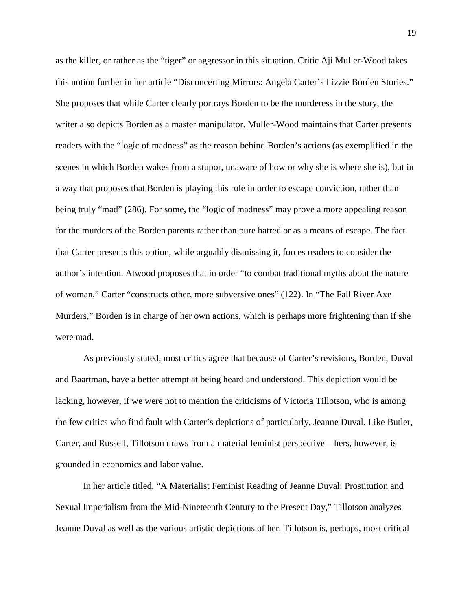as the killer, or rather as the "tiger" or aggressor in this situation. Critic Aji Muller-Wood takes this notion further in her article "Disconcerting Mirrors: Angela Carter's Lizzie Borden Stories." She proposes that while Carter clearly portrays Borden to be the murderess in the story, the writer also depicts Borden as a master manipulator. Muller-Wood maintains that Carter presents readers with the "logic of madness" as the reason behind Borden's actions (as exemplified in the scenes in which Borden wakes from a stupor, unaware of how or why she is where she is), but in a way that proposes that Borden is playing this role in order to escape conviction, rather than being truly "mad" (286). For some, the "logic of madness" may prove a more appealing reason for the murders of the Borden parents rather than pure hatred or as a means of escape. The fact that Carter presents this option, while arguably dismissing it, forces readers to consider the author's intention. Atwood proposes that in order "to combat traditional myths about the nature of woman," Carter "constructs other, more subversive ones" (122). In "The Fall River Axe Murders," Borden is in charge of her own actions, which is perhaps more frightening than if she were mad.

As previously stated, most critics agree that because of Carter's revisions, Borden, Duval and Baartman, have a better attempt at being heard and understood. This depiction would be lacking, however, if we were not to mention the criticisms of Victoria Tillotson, who is among the few critics who find fault with Carter's depictions of particularly, Jeanne Duval. Like Butler, Carter, and Russell, Tillotson draws from a material feminist perspective—hers, however, is grounded in economics and labor value.

In her article titled, "A Materialist Feminist Reading of Jeanne Duval: Prostitution and Sexual Imperialism from the Mid-Nineteenth Century to the Present Day," Tillotson analyzes Jeanne Duval as well as the various artistic depictions of her. Tillotson is, perhaps, most critical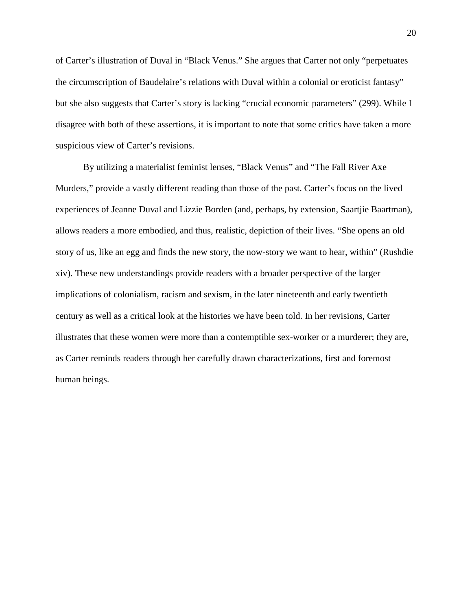of Carter's illustration of Duval in "Black Venus." She argues that Carter not only "perpetuates the circumscription of Baudelaire's relations with Duval within a colonial or eroticist fantasy" but she also suggests that Carter's story is lacking "crucial economic parameters" (299). While I disagree with both of these assertions, it is important to note that some critics have taken a more suspicious view of Carter's revisions.

By utilizing a materialist feminist lenses, "Black Venus" and "The Fall River Axe Murders," provide a vastly different reading than those of the past. Carter's focus on the lived experiences of Jeanne Duval and Lizzie Borden (and, perhaps, by extension, Saartjie Baartman), allows readers a more embodied, and thus, realistic, depiction of their lives. "She opens an old story of us, like an egg and finds the new story, the now-story we want to hear, within" (Rushdie xiv). These new understandings provide readers with a broader perspective of the larger implications of colonialism, racism and sexism, in the later nineteenth and early twentieth century as well as a critical look at the histories we have been told. In her revisions, Carter illustrates that these women were more than a contemptible sex-worker or a murderer; they are, as Carter reminds readers through her carefully drawn characterizations, first and foremost human beings.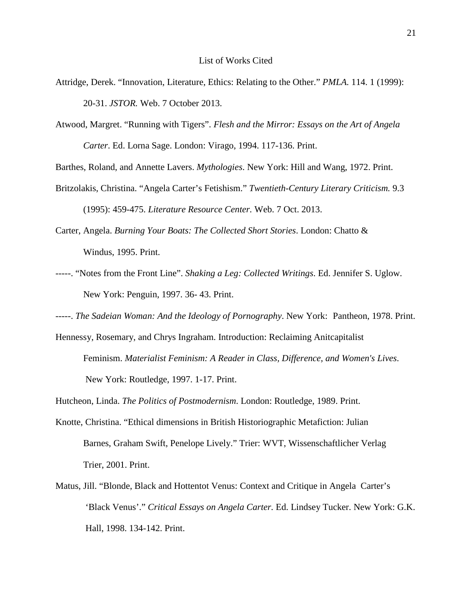- Attridge, Derek. "Innovation, Literature, Ethics: Relating to the Other." *PMLA.* 114. 1 (1999): 20-31. *JSTOR.* Web. 7 October 2013.
- Atwood, Margret. "Running with Tigers". *Flesh and the Mirror: Essays on the Art of Angela Carter*. Ed. Lorna Sage. London: Virago, 1994. 117-136. Print.
- Barthes, Roland, and Annette Lavers. *Mythologies*. New York: Hill and Wang, 1972. Print.
- Britzolakis, Christina. "Angela Carter's Fetishism." *Twentieth-Century Literary Criticism.* 9.3 (1995): 459-475. *Literature Resource Center.* Web. 7 Oct. 2013.
- Carter, Angela. *Burning Your Boats: The Collected Short Stories*. London: Chatto & Windus, 1995. Print.
- -----. "Notes from the Front Line". *Shaking a Leg: Collected Writings*. Ed. Jennifer S. Uglow. New York: Penguin, 1997. 36- 43. Print.
- -----. *The Sadeian Woman: And the Ideology of Pornography*. New York: Pantheon, 1978. Print.
- Hennessy, Rosemary, and Chrys Ingraham. Introduction: Reclaiming Anitcapitalist Feminism. *Materialist Feminism: A Reader in Class, Difference, and Women's Lives*. New York: Routledge, 1997. 1-17. Print.
- Hutcheon, Linda. *The Politics of Postmodernism*. London: Routledge, 1989. Print.
- Knotte, Christina. "Ethical dimensions in British Historiographic Metafiction: Julian Barnes, Graham Swift, Penelope Lively." Trier: WVT, Wissenschaftlicher Verlag Trier, 2001. Print.
- Matus, Jill. "Blonde, Black and Hottentot Venus: Context and Critique in Angela Carter's 'Black Venus'." *Critical Essays on Angela Carter.* Ed. Lindsey Tucker. New York: G.K. Hall, 1998. 134-142. Print.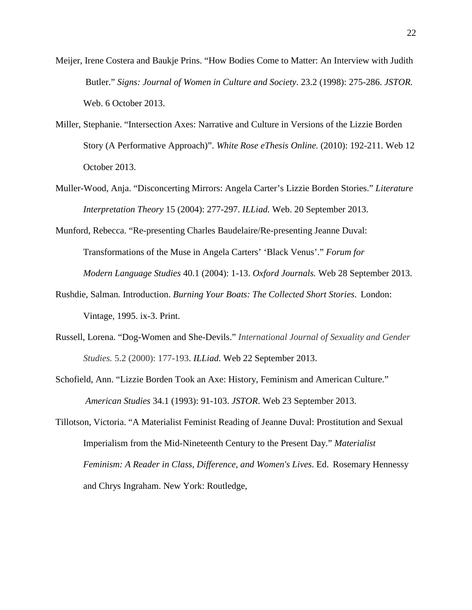- Meijer, Irene Costera and Baukje Prins. "How Bodies Come to Matter: An Interview with Judith Butler." *Signs: Journal of Women in Culture and Society*. 23.2 (1998): 275-286. *JSTOR.*  Web. 6 October 2013.
- Miller, Stephanie. "Intersection Axes: Narrative and Culture in Versions of the Lizzie Borden Story (A Performative Approach)". *White Rose eThesis Online.* (2010): 192-211. Web 12 October 2013.
- Muller-Wood, Anja. "Disconcerting Mirrors: Angela Carter's Lizzie Borden Stories." *Literature Interpretation Theory* 15 (2004): 277-297. *ILLiad.* Web. 20 September 2013.
- Munford, Rebecca. "Re-presenting Charles Baudelaire/Re-presenting Jeanne Duval: Transformations of the Muse in Angela Carters' 'Black Venus'." *Forum for Modern Language Studies* 40.1 (2004): 1-13. *Oxford Journals.* Web 28 September 2013.
- Rushdie, Salman*.* Introduction. *Burning Your Boats: The Collected Short Stories*. London: Vintage, 1995. ix-3. Print.
- Russell, Lorena. "Dog-Women and She-Devils." *[International](http://link.springer.com/journal/10848) Journal of Sexuality and Gender [Studies.](http://link.springer.com/journal/10848)* 5.2 (2000): 177-193. *ILLiad*. Web 22 September 2013.
- Schofield, Ann. "Lizzie Borden Took an Axe: History, Feminism and American Culture." *American Studies* 34.1 (1993): 91-103. *JSTOR*. Web 23 September 2013.
- Tillotson, Victoria. "A Materialist Feminist Reading of Jeanne Duval: Prostitution and Sexual Imperialism from the Mid-Nineteenth Century to the Present Day." *Materialist Feminism: A Reader in Class, Difference, and Women's Lives*. Ed. Rosemary Hennessy and Chrys Ingraham. New York: Routledge,